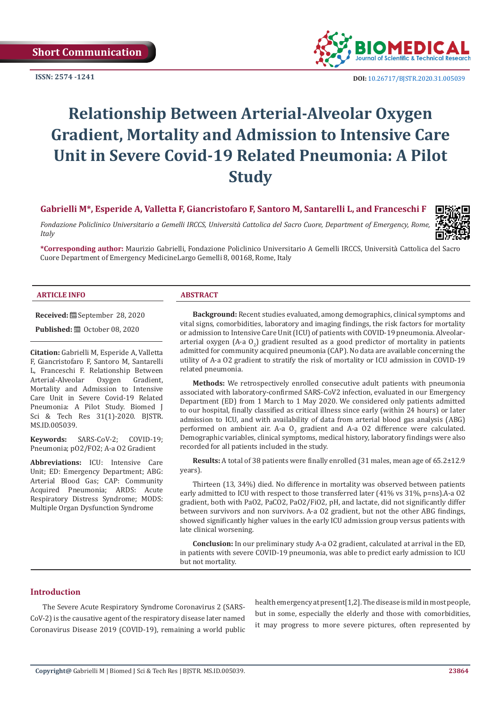**ISSN: 2574 -1241**



 **DOI:** [10.26717/BJSTR.2020.31.0050](http://dx.doi.org/10.26717/BJSTR.2020.31.005039)39

# **Relationship Between Arterial-Alveolar Oxygen Gradient, Mortality and Admission to Intensive Care Unit in Severe Covid-19 Related Pneumonia: A Pilot Study**

**Gabrielli M\*, Esperide A, Valletta F, Giancristofaro F, Santoro M, Santarelli L, and Franceschi F**

*Fondazione Policlinico Universitario a Gemelli IRCCS, Università Cattolica del Sacro Cuore, Department of Emergency, Rome, Italy*



**\*Corresponding author:** Maurizio Gabrielli, Fondazione Policlinico Universitario A Gemelli IRCCS, Università Cattolica del Sacro Cuore Department of Emergency MedicineLargo Gemelli 8, 00168, Rome, Italy

#### **ARTICLE INFO ABSTRACT**

**Received:** September 28, 2020

**Published:** ■ October 08, 2020

**Citation:** Gabrielli M, Esperide A, Valletta F, Giancristofaro F, Santoro M, Santarelli L, Franceschi F. Relationship Between<br>Arterial-Alveolar Oxygen Gradient, Arterial-Alveolar Mortality and Admission to Intensive Care Unit in Severe Covid-19 Related Pneumonia: A Pilot Study. Biomed J Sci & Tech Res 31(1)-2020. BJSTR. MS.ID.005039.

**Keywords:** SARS-CoV-2; COVID-19; Pneumonia; pO2/FO2; A-a O2 Gradient

**Abbreviations:** ICU: Intensive Care Unit; ED: Emergency Department; ABG: Arterial Blood Gas; CAP: Community Acquired Pneumonia; ARDS: Acute Respiratory Distress Syndrome; MODS: Multiple Organ Dysfunction Syndrome

**Background:** Recent studies evaluated, among demographics, clinical symptoms and vital signs, comorbidities, laboratory and imaging findings, the risk factors for mortality or admission to Intensive Care Unit (ICU) of patients with COVID-19 pneumonia. Alveolararterial oxygen (A-a  $0<sub>2</sub>$ ) gradient resulted as a good predictor of mortality in patients admitted for community acquired pneumonia (CAP). No data are available concerning the utility of A-a O2 gradient to stratify the risk of mortality or ICU admission in COVID-19 related pneumonia.

**Methods:** We retrospectively enrolled consecutive adult patients with pneumonia associated with laboratory-confirmed SARS-CoV2 infection, evaluated in our Emergency Department (ED) from 1 March to 1 May 2020. We considered only patients admitted to our hospital, finally classified as critical illness since early (within 24 hours) or later admission to ICU, and with availability of data from arterial blood gas analysis (ABG) performed on ambient air. A-a  $0<sub>2</sub>$  gradient and A-a O2 difference were calculated. Demographic variables, clinical symptoms, medical history, laboratory findings were also recorded for all patients included in the study.

**Results:** A total of 38 patients were finally enrolled (31 males, mean age of 65.2±12.9 years).

Thirteen (13, 34%) died. No difference in mortality was observed between patients early admitted to ICU with respect to those transferred later (41% vs 31%, p=ns).A-a O2 gradient, both with PaO2, PaCO2, PaO2/FiO2, pH, and lactate, did not significantly differ between survivors and non survivors. A-a O2 gradient, but not the other ABG findings, showed significantly higher values in the early ICU admission group versus patients with late clinical worsening.

**Conclusion:** In our preliminary study A-a O2 gradient, calculated at arrival in the ED, in patients with severe COVID-19 pneumonia, was able to predict early admission to ICU but not mortality.

# **Introduction**

The Severe Acute Respiratory Syndrome Coronavirus 2 (SARS-CoV-2) is the causative agent of the respiratory disease later named Coronavirus Disease 2019 (COVID-19), remaining a world public health emergency at present[1,2]. The disease is mild in most people, but in some, especially the elderly and those with comorbidities, it may progress to more severe pictures, often represented by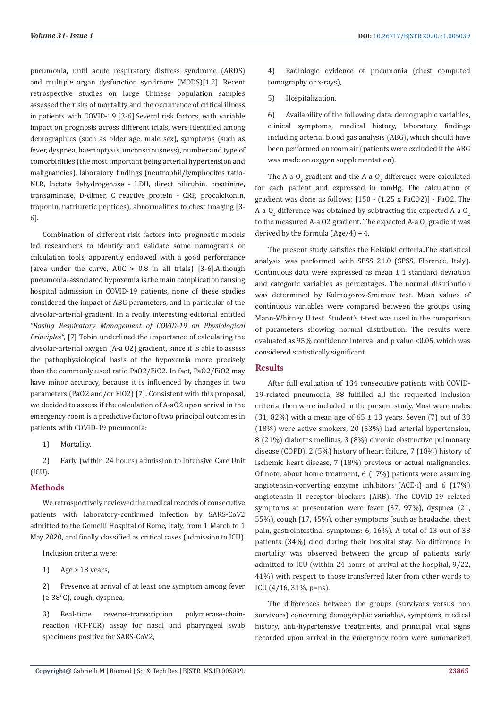pneumonia, until acute respiratory distress syndrome (ARDS) and multiple organ dysfunction syndrome (MODS)[1,2]. Recent retrospective studies on large Chinese population samples assessed the risks of mortality and the occurrence of critical illness in patients with COVID-19 [3-6].Several risk factors, with variable impact on prognosis across different trials, were identified among demographics (such as older age, male sex), symptoms (such as fever, dyspnea, haemoptysis, unconsciousness), number and type of comorbidities (the most important being arterial hypertension and malignancies), laboratory findings (neutrophil/lymphocites ratio-NLR, lactate dehydrogenase - LDH, direct bilirubin, creatinine, transaminase, D-dimer, C reactive protein - CRP, procalcitonin, troponin, natriuretic peptides), abnormalities to chest imaging [3- 6].

Combination of different risk factors into prognostic models led researchers to identify and validate some nomograms or calculation tools, apparently endowed with a good performance (area under the curve,  $AUC > 0.8$  in all trials) [3-6].Although pneumonia-associated hypoxemia is the main complication causing hospital admission in COVID-19 patients, none of these studies considered the impact of ABG parameters, and in particular of the alveolar-arterial gradient. In a really interesting editorial entitled *"Basing Respiratory Management of COVID-19 on Physiological Principles"*, [7] Tobin underlined the importance of calculating the alveolar-arterial oxygen (A-a O2) gradient, since it is able to assess the pathophysiological basis of the hypoxemia more precisely than the commonly used ratio PaO2/FiO2. In fact, PaO2/FiO2 may have minor accuracy, because it is influenced by changes in two parameters (PaO2 and/or FiO2) [7]. Consistent with this proposal, we decided to assess if the calculation of A-aO2 upon arrival in the emergency room is a predictive factor of two principal outcomes in patients with COVID-19 pneumonia:

1) Mortality,

2) Early (within 24 hours) admission to Intensive Care Unit (ICU).

#### **Methods**

We retrospectively reviewed the medical records of consecutive patients with laboratory-confirmed infection by SARS-CoV2 admitted to the Gemelli Hospital of Rome, Italy, from 1 March to 1 May 2020, and finally classified as critical cases (admission to ICU).

Inclusion criteria were:

1) Age > 18 years,

2) Presence at arrival of at least one symptom among fever (≥ 38°C), cough, dyspnea,

3) Real-time reverse-transcription polymerase-chainreaction (RT-PCR) assay for nasal and pharyngeal swab specimens positive for SARS-CoV2,

4) Radiologic evidence of pneumonia (chest computed tomography or x-rays),

5) Hospitalization,

6) Availability of the following data: demographic variables, clinical symptoms, medical history, laboratory findings including arterial blood gas analysis (ABG), which should have been performed on room air (patients were excluded if the ABG was made on oxygen supplementation).

The A-a  $0_2$  gradient and the A-a  $0_2$  difference were calculated for each patient and expressed in mmHg. The calculation of gradient was done as follows: [150 - (1.25 x PaCO2)] - PaO2. The A-a O<sub>2</sub> difference was obtained by subtracting the expected A-a O<sub>2</sub> to the measured A-a O2 gradient. The expected A-a  $0_{\rm 2}$  gradient was derived by the formula  $(Age/4) + 4$ .

The present study satisfies the Helsinki criteria**.**The statistical analysis was performed with SPSS 21.0 (SPSS, Florence, Italy). Continuous data were expressed as mean ± 1 standard deviation and categoric variables as percentages. The normal distribution was determined by Kolmogorov-Smirnov test. Mean values of continuous variables were compared between the groups using Mann-Whitney U test. Student's t-test was used in the comparison of parameters showing normal distribution. The results were evaluated as 95% confidence interval and p value <0.05, which was considered statistically significant.

#### **Results**

After full evaluation of 134 consecutive patients with COVID-19-related pneumonia, 38 fulfilled all the requested inclusion criteria, then were included in the present study. Most were males (31, 82%) with a mean age of  $65 \pm 13$  years. Seven (7) out of 38 (18%) were active smokers, 20 (53%) had arterial hypertension, 8 (21%) diabetes mellitus, 3 (8%) chronic obstructive pulmonary disease (COPD), 2 (5%) history of heart failure, 7 (18%) history of ischemic heart disease, 7 (18%) previous or actual malignancies. Of note, about home treatment, 6 (17%) patients were assuming angiotensin-converting enzyme inhibitors (ACE-i) and 6 (17%) angiotensin II receptor blockers (ARB). The COVID-19 related symptoms at presentation were fever (37, 97%), dyspnea (21, 55%), cough (17, 45%), other symptoms (such as headache, chest pain, gastrointestinal symptoms: 6, 16%). A total of 13 out of 38 patients (34%) died during their hospital stay. No difference in mortality was observed between the group of patients early admitted to ICU (within 24 hours of arrival at the hospital, 9/22, 41%) with respect to those transferred later from other wards to ICU (4/16, 31%, p=ns).

The differences between the groups (survivors versus non survivors) concerning demographic variables, symptoms, medical history, anti-hypertensive treatments, and principal vital signs recorded upon arrival in the emergency room were summarized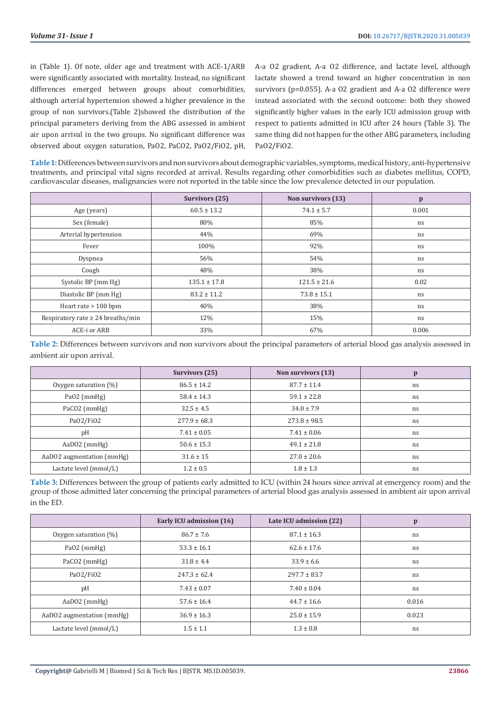in (Table 1). Of note, older age and treatment with ACE-1/ARB were significantly associated with mortality. Instead, no significant differences emerged between groups about comorbidities, although arterial hypertension showed a higher prevalence in the group of non survivors.(Table 2)showed the distribution of the principal parameters deriving from the ABG assessed in ambient air upon arrival in the two groups. No significant difference was observed about oxygen saturation, PaO2, PaCO2, PaO2/FiO2, pH, A-a O2 gradient, A-a O2 difference, and lactate level, although lactate showed a trend toward an higher concentration in non survivors (p=0.055). A-a O2 gradient and A-a O2 difference were instead associated with the second outcome: both they showed significantly higher values in the early ICU admission group with respect to patients admitted in ICU after 24 hours (Table 3). The same thing did not happen for the other ABG parameters, including PaO2/FiO2.

**Table 1:** Differences between survivors and non survivors about demographic variables, symptoms, medical history, anti-hypertensive treatments, and principal vital signs recorded at arrival. Results regarding other comorbidities such as diabetes mellitus, COPD, cardiovascular diseases, malignancies were not reported in the table since the low prevalence detected in our population.

|                                        | <b>Survivors (25)</b> | Non survivors (13) | $\mathbf{p}$ |
|----------------------------------------|-----------------------|--------------------|--------------|
| Age (years)                            | $60.5 \pm 13.2$       | $74.1 \pm 5.7$     | 0.001        |
| Sex (female)                           | 80%                   | 85%                | ns           |
| Arterial hypertension                  | 44%                   | 69%                | ns           |
| Fever                                  | 100%                  | 92%                | ns           |
| Dyspnea                                | 56%                   | 54%                | ns           |
| Cough                                  | 48%                   | 38%                | ns           |
| Systolic BP (mm Hg)                    | $135.1 \pm 17.8$      | $121.5 \pm 21.6$   | 0.02         |
| Diastolic BP (mm Hg)                   | $83.2 \pm 11.2$       | $73.8 \pm 15.1$    | ns           |
| Heart rate $> 100$ bpm                 | 40%                   | 38%                | ns           |
| Respiratory rate $\geq 24$ breaths/min | 12%                   | 15%                | ns           |
| ACE-i or ARB                           | 33%                   | 67%                | 0.006        |

**Table 2:** Differences between survivors and non survivors about the principal parameters of arterial blood gas analysis assessed in ambient air upon arrival.

|                           | Survivors (25)   | Non survivors (13) | p  |
|---------------------------|------------------|--------------------|----|
| Oxygen saturation $(\%)$  | $86.5 \pm 14.2$  | $87.7 \pm 11.4$    | ns |
| $PaO2$ (mmHg)             | $58.4 \pm 14.3$  | $59.1 \pm 22.8$    | ns |
| PaCO2 (mmHg)              | $32.5 \pm 4.5$   | $34.0 \pm 7.9$     | ns |
| Pa02/Fi02                 | $277.9 \pm 68.3$ | $273.8 \pm 98.5$   | ns |
| pH                        | $7.41 \pm 0.05$  | $7.41 \pm 0.06$    | ns |
| $AaD02$ (mmHg)            | $50.6 \pm 15.3$  | $49.1 \pm 21.8$    | ns |
| AaDO2 augmentation (mmHg) | $31.6 \pm 15$    | $27.0 \pm 20.6$    | ns |
| Lactate level (mmol/L)    | $1.2 \pm 0.5$    | $1.8 \pm 1.3$      | ns |

**Table 3:** Differences between the group of patients early admitted to ICU (within 24 hours since arrival at emergency room) and the group of those admitted later concerning the principal parameters of arterial blood gas analysis assessed in ambient air upon arrival in the ED.

|                           | Early ICU admission (16) | Late ICU admission (22) | $\mathbf{p}$ |
|---------------------------|--------------------------|-------------------------|--------------|
| Oxygen saturation $(\%)$  | $86.7 \pm 7.6$           | $87.1 \pm 16.3$         | ns           |
| $PaO2$ (mmHg)             | $53.3 \pm 16.1$          | $62.6 \pm 17.6$         | ns           |
| PaCO <sub>2</sub> (mmHg)  | $31.8 \pm 4.4$           | $33.9 \pm 6.6$          | ns           |
| Pa02/Fi02                 | $247.3 \pm 62.4$         | $297.7 \pm 83.7$        | ns           |
| pH                        | $7.43 \pm 0.07$          | $7.40 \pm 0.04$         | ns           |
| $AaD02$ (mmHg)            | $57.6 \pm 16.4$          | $44.7 \pm 16.6$         | 0.016        |
| AaDO2 augmentation (mmHg) | $36.9 \pm 16.3$          | $25.0 \pm 15.9$         | 0.023        |
| Lactate level (mmol/L)    | $1.5 \pm 1.1$            | $1.3 \pm 0.8$           | ns           |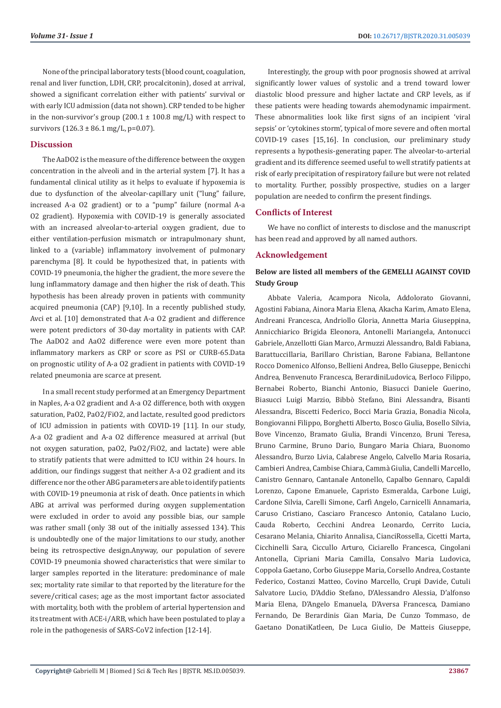None of the principal laboratory tests (blood count, coagulation, renal and liver function, LDH, CRP, procalcitonin), dosed at arrival, showed a significant correlation either with patients' survival or with early ICU admission (data not shown). CRP tended to be higher in the non-survivor's group  $(200.1 \pm 100.8 \text{ mg/L})$  with respect to survivors  $(126.3 \pm 86.1 \text{ mg/L}, \text{p=0.07}).$ 

# **Discussion**

The AaDO2 is the measure of the difference between the oxygen concentration in the alveoli and in the arterial system [7]. It has a fundamental clinical utility as it helps to evaluate if hypoxemia is due to dysfunction of the alveolar-capillary unit ("lung" failure, increased A-a O2 gradient) or to a "pump" failure (normal A-a O2 gradient). Hypoxemia with COVID-19 is generally associated with an increased alveolar-to-arterial oxygen gradient, due to either ventilation-perfusion mismatch or intrapulmonary shunt, linked to a (variable) inflammatory involvement of pulmonary parenchyma [8]. It could be hypothesized that, in patients with COVID-19 pneumonia, the higher the gradient, the more severe the lung inflammatory damage and then higher the risk of death. This hypothesis has been already proven in patients with community acquired pneumonia (CAP) [9,10]. In a recently published study, Avci et al. [10] demonstrated that A-a O2 gradient and difference were potent predictors of 30-day mortality in patients with CAP. The AaDO2 and AaO2 difference were even more potent than inflammatory markers as CRP or score as PSI or CURB-65.Data on prognostic utility of A-a O2 gradient in patients with COVID-19 related pneumonia are scarce at present.

In a small recent study performed at an Emergency Department in Naples, A-a O2 gradient and A-a O2 difference, both with oxygen saturation, PaO2, PaO2/FiO2, and lactate, resulted good predictors of ICU admission in patients with COVID-19 [11]. In our study, A-a O2 gradient and A-a O2 difference measured at arrival (but not oxygen saturation, paO2, PaO2/FiO2, and lactate) were able to stratify patients that were admitted to ICU within 24 hours. In addition, our findings suggest that neither A-a O2 gradient and its difference nor the other ABG parameters are able to identify patients with COVID-19 pneumonia at risk of death. Once patients in which ABG at arrival was performed during oxygen supplementation were excluded in order to avoid any possible bias, our sample was rather small (only 38 out of the initially assessed 134). This is undoubtedly one of the major limitations to our study, another being its retrospective design.Anyway, our population of severe COVID-19 pneumonia showed characteristics that were similar to larger samples reported in the literature: predominance of male sex; mortality rate similar to that reported by the literature for the severe/critical cases; age as the most important factor associated with mortality, both with the problem of arterial hypertension and its treatment with ACE-i/ARB, which have been postulated to play a role in the pathogenesis of SARS-CoV2 infection [12-14].

Interestingly, the group with poor prognosis showed at arrival significantly lower values of systolic and a trend toward lower diastolic blood pressure and higher lactate and CRP levels, as if these patients were heading towards ahemodynamic impairment. These abnormalities look like first signs of an incipient 'viral sepsis' or 'cytokines storm', typical of more severe and often mortal COVID-19 cases [15,16]. In conclusion, our preliminary study represents a hypothesis-generating paper. The alveolar-to-arterial gradient and its difference seemed useful to well stratify patients at risk of early precipitation of respiratory failure but were not related to mortality. Further, possibly prospective, studies on a larger population are needed to confirm the present findings.

# **Conflicts of Interest**

We have no conflict of interests to disclose and the manuscript has been read and approved by all named authors.

### **Acknowledgement**

# **Below are listed all members of the GEMELLI AGAINST COVID Study Group**

Abbate Valeria, Acampora Nicola, Addolorato Giovanni, Agostini Fabiana, Ainora Maria Elena, Akacha Karim, Amato Elena, Andreani Francesca, Andriollo Gloria, Annetta Maria Giuseppina, Annicchiarico Brigida Eleonora, Antonelli Mariangela, Antonucci Gabriele, Anzellotti Gian Marco, Armuzzi Alessandro, Baldi Fabiana, BarattucciIlaria, Barillaro Christian, Barone Fabiana, Bellantone Rocco Domenico Alfonso, Bellieni Andrea, Bello Giuseppe, Benicchi Andrea, Benvenuto Francesca, BerardiniLudovica, Berloco Filippo, Bernabei Roberto, Bianchi Antonio, Biasucci Daniele Guerino, Biasucci Luigi Marzio, Bibbò Stefano, Bini Alessandra, Bisanti Alessandra, Biscetti Federico, Bocci Maria Grazia, Bonadia Nicola, Bongiovanni Filippo, Borghetti Alberto, Bosco Giulia, Bosello Silvia, Bove Vincenzo, Bramato Giulia, Brandi Vincenzo, Bruni Teresa, Bruno Carmine, Bruno Dario, Bungaro Maria Chiara, Buonomo Alessandro, Burzo Livia, Calabrese Angelo, Calvello Maria Rosaria, Cambieri Andrea, Cambise Chiara, Cammà Giulia, Candelli Marcello, Canistro Gennaro, Cantanale Antonello, Capalbo Gennaro, Capaldi Lorenzo, Capone Emanuele, Capristo Esmeralda, Carbone Luigi, Cardone Silvia, Carelli Simone, Carfì Angelo, Carnicelli Annamaria, Caruso Cristiano, Casciaro Francesco Antonio, Catalano Lucio, Cauda Roberto, Cecchini Andrea Leonardo, Cerrito Lucia, Cesarano Melania, Chiarito Annalisa, CianciRossella, Cicetti Marta, Cicchinelli Sara, Ciccullo Arturo, Ciciarello Francesca, Cingolani Antonella, Cipriani Maria Camilla, Consalvo Maria Ludovica, Coppola Gaetano, Corbo Giuseppe Maria, Corsello Andrea, Costante Federico, Costanzi Matteo, Covino Marcello, Crupi Davide, Cutuli Salvatore Lucio, D'Addio Stefano, D'Alessandro Alessia, D'alfonso Maria Elena, D'Angelo Emanuela, D'Aversa Francesca, Damiano Fernando, De Berardinis Gian Maria, De Cunzo Tommaso, de Gaetano DonatiKatleen, De Luca Giulio, De Matteis Giuseppe,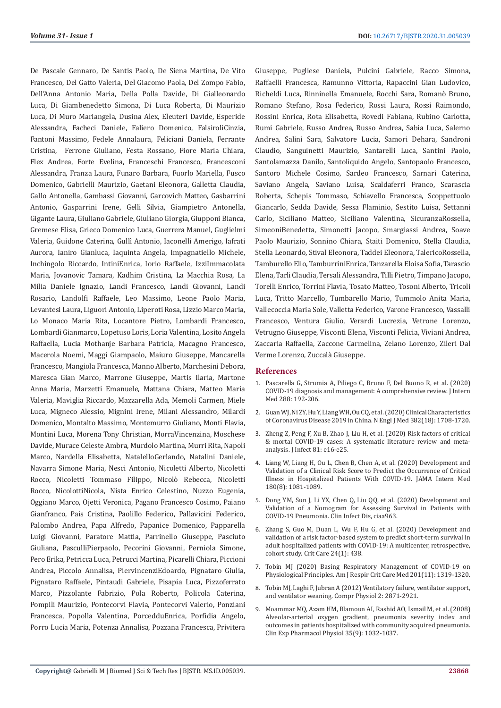De Pascale Gennaro, De Santis Paolo, De Siena Martina, De Vito Francesco, Del Gatto Valeria, Del Giacomo Paola, Del Zompo Fabio, Dell'Anna Antonio Maria, Della Polla Davide, Di Gialleonardo Luca, Di Giambenedetto Simona, Di Luca Roberta, Di Maurizio Luca, Di Muro Mariangela, Dusina Alex, Eleuteri Davide, Esperide Alessandra, Facheci Daniele, Faliero Domenico, FalsiroliCinzia, Fantoni Massimo, Fedele Annalaura, Feliciani Daniela, Ferrante Cristina, Ferrone Giuliano, Festa Rossano, Fiore Maria Chiara, Flex Andrea, Forte Evelina, Franceschi Francesco, Francesconi Alessandra, Franza Laura, Funaro Barbara, Fuorlo Mariella, Fusco Domenico, Gabrielli Maurizio, Gaetani Eleonora, Galletta Claudia, Gallo Antonella, Gambassi Giovanni, Garcovich Matteo, Gasbarrini Antonio, Gasparrini Irene, Gelli Silvia, Giampietro Antonella, Gigante Laura, Giuliano Gabriele, Giuliano Giorgia, Giupponi Bianca, Gremese Elisa, Grieco Domenico Luca, Guerrera Manuel, Guglielmi Valeria, Guidone Caterina, Gullì Antonio, Iaconelli Amerigo, Iafrati Aurora, Ianiro Gianluca, Iaquinta Angela, Impagnatiello Michele, Inchingolo Riccardo, IntiniEnrica, Iorio Raffaele, IzziImmacolata Maria, Jovanovic Tamara, Kadhim Cristina, La Macchia Rosa, La Milia Daniele Ignazio, Landi Francesco, Landi Giovanni, Landi Rosario, Landolfi Raffaele, Leo Massimo, Leone Paolo Maria, Levantesi Laura, Liguori Antonio, Liperoti Rosa, Lizzio Marco Maria, Lo Monaco Maria Rita, Locantore Pietro, Lombardi Francesco, Lombardi Gianmarco, Lopetuso Loris, Loria Valentina, Losito Angela Raffaella, Lucia Mothanje Barbara Patricia, Macagno Francesco, Macerola Noemi, Maggi Giampaolo, Maiuro Giuseppe, Mancarella Francesco, Mangiola Francesca, Manno Alberto, Marchesini Debora, Maresca Gian Marco, Marrone Giuseppe, Martis Ilaria, Martone Anna Maria, Marzetti Emanuele, Mattana Chiara, Matteo Maria Valeria, Maviglia Riccardo, Mazzarella Ada, Memoli Carmen, Miele Luca, Migneco Alessio, Mignini Irene, Milani Alessandro, Milardi Domenico, Montalto Massimo, Montemurro Giuliano, Monti Flavia, Montini Luca, Morena Tony Christian, MorraVincenzina, Moschese Davide, Murace Celeste Ambra, Murdolo Martina, Murri Rita, Napoli Marco, Nardella Elisabetta, NatalelloGerlando, Natalini Daniele, Navarra Simone Maria, Nesci Antonio, Nicoletti Alberto, Nicoletti Rocco, Nicoletti Tommaso Filippo, Nicolò Rebecca, Nicoletti Rocco, NicolottiNicola, Nista Enrico Celestino, Nuzzo Eugenia, Oggiano Marco, Ojetti Veronica, Pagano Francesco Cosimo, Paiano Gianfranco, Pais Cristina, Paolillo Federico, Pallavicini Federico, Palombo Andrea, Papa Alfredo, Papanice Domenico, Papparella Luigi Giovanni, Paratore Mattia, Parrinello Giuseppe, Pasciuto Giuliana, PasculliPierpaolo, Pecorini Giovanni, Perniola Simone, Pero Erika, Petricca Luca, Petrucci Martina, Picarelli Chiara, Piccioni Andrea, Piccolo Annalisa, PiervincenziEdoardo, Pignataro Giulia, Pignataro Raffaele, Pintaudi Gabriele, Pisapia Luca, Pizzoferrato Marco, Pizzolante Fabrizio, Pola Roberto, Policola Caterina, Pompili Maurizio, Pontecorvi Flavia, Pontecorvi Valerio, Ponziani Francesca, Popolla Valentina, PorcedduEnrica, Porfidia Angelo, Porro Lucia Maria, Potenza Annalisa, Pozzana Francesca, Privitera

Giuseppe, Pugliese Daniela, Pulcini Gabriele, Racco Simona, Raffaelli Francesca, Ramunno Vittoria, Rapaccini Gian Ludovico, Richeldi Luca, Rinninella Emanuele, Rocchi Sara, Romanò Bruno, Romano Stefano, Rosa Federico, Rossi Laura, Rossi Raimondo, Rossini Enrica, Rota Elisabetta, Rovedi Fabiana, Rubino Carlotta, Rumi Gabriele, Russo Andrea, Russo Andrea, Sabia Luca, Salerno Andrea, Salini Sara, Salvatore Lucia, Samori Dehara, Sandroni Claudio, Sanguinetti Maurizio, Santarelli Luca, Santini Paolo, Santolamazza Danilo, Santoliquido Angelo, Santopaolo Francesco, Santoro Michele Cosimo, Sardeo Francesco, Sarnari Caterina, Saviano Angela, Saviano Luisa, Scaldaferri Franco, Scarascia Roberta, Schepis Tommaso, Schiavello Francesca, Scoppettuolo Giancarlo, Sedda Davide, Sessa Flaminio, Sestito Luisa, Settanni Carlo, Siciliano Matteo, Siciliano Valentina, SicuranzaRossella, SimeoniBenedetta, Simonetti Jacopo, Smargiassi Andrea, Soave Paolo Maurizio, Sonnino Chiara, Staiti Domenico, Stella Claudia, Stella Leonardo, Stival Eleonora, Taddei Eleonora, TalericoRossella, Tamburello Elio, TamburriniEnrica, Tanzarella Eloisa Sofia, Tarascio Elena, Tarli Claudia, Tersali Alessandra, Tilli Pietro, Timpano Jacopo, Torelli Enrico, Torrini Flavia, Tosato Matteo, Tosoni Alberto, Tricoli Luca, Tritto Marcello, Tumbarello Mario, Tummolo Anita Maria, Vallecoccia Maria Sole, Valletta Federico, Varone Francesco, Vassalli Francesco, Ventura Giulio, Verardi Lucrezia, Vetrone Lorenzo, Vetrugno Giuseppe, Visconti Elena, Visconti Felicia, Viviani Andrea, Zaccaria Raffaella, Zaccone Carmelina, Zelano Lorenzo, Zileri Dal Verme Lorenzo, Zuccalà Giuseppe.

#### **References**

- 1. [Pascarella G, Strumia A, Piliego C, Bruno F, Del Buono R, et al. \(2020\)](https://onlinelibrary.wiley.com/doi/10.1111/joim.13091) [COVID-19 diagnosis and management: A comprehensive review. J Intern](https://onlinelibrary.wiley.com/doi/10.1111/joim.13091) [Med 288: 192-206.](https://onlinelibrary.wiley.com/doi/10.1111/joim.13091)
- 2. [Guan WJ, Ni ZY, Hu Y, Liang WH, Ou CQ, et al. \(2020\) Clinical Characteristics](https://www.nejm.org/doi/full/10.1056/NEJMoa2002032) [of Coronavirus Disease 2019 in China. N Engl J Med 382\(18\): 1708-1720.](https://www.nejm.org/doi/full/10.1056/NEJMoa2002032)
- 3. [Zheng Z, Peng F, Xu B, Zhao J, Liu H, et al. \(2020\) Risk factors of critical](https://www.sciencedirect.com/science/article/pii/S0163445320302346) [& mortal COVID-19 cases: A systematic literature review and meta](https://www.sciencedirect.com/science/article/pii/S0163445320302346)[analysis. J Infect 81: e16-e25.](https://www.sciencedirect.com/science/article/pii/S0163445320302346)
- 4. [Liang W, Liang H, Ou L, Chen B, Chen A, et al. \(2020\) Development and](https://jamanetwork.com/journals/jamainternalmedicine/fullarticle/2766086) [Validation of a Clinical Risk Score to Predict the Occurrence of Critical](https://jamanetwork.com/journals/jamainternalmedicine/fullarticle/2766086) [Illness in Hospitalized Patients With COVID-19. JAMA Intern Med](https://jamanetwork.com/journals/jamainternalmedicine/fullarticle/2766086) [180\(8\): 1081-1089.](https://jamanetwork.com/journals/jamainternalmedicine/fullarticle/2766086)
- 5. [Dong YM, Sun J, Li YX, Chen Q, Liu QQ, et al. \(2020\) Development and](https://academic.oup.com/cid/advance-article/doi/10.1093/cid/ciaa963/5869870) [Validation of a Nomogram for Assessing Survival in Patients with](https://academic.oup.com/cid/advance-article/doi/10.1093/cid/ciaa963/5869870) [COVID-19 Pneumonia. Clin Infect Dis, ciaa963.](https://academic.oup.com/cid/advance-article/doi/10.1093/cid/ciaa963/5869870)
- 6. [Zhang S, Guo M, Duan L, Wu F, Hu G, et al. \(2020\) Development and](https://www.ncbi.nlm.nih.gov/pmc/articles/PMC7364297/) [validation of a risk factor-based system to predict short-term survival in](https://www.ncbi.nlm.nih.gov/pmc/articles/PMC7364297/) [adult hospitalized patients with COVID-19: A multicenter, retrospective,](https://www.ncbi.nlm.nih.gov/pmc/articles/PMC7364297/) [cohort study. Crit Care 24\(1\): 438.](https://www.ncbi.nlm.nih.gov/pmc/articles/PMC7364297/)
- 7. [Tobin MJ \(2020\) Basing Respiratory Management of COVID-19 on](https://www.atsjournals.org/doi/10.1164/rccm.202004-1076ED) [Physiological Principles. Am J Respir Crit Care Med 201\(11\): 1319-1320.](https://www.atsjournals.org/doi/10.1164/rccm.202004-1076ED)
- 8. [Tobin MJ, Laghi F, Jubran A \(2012\) Ventilatory failure, ventilator support,](https://pubmed.ncbi.nlm.nih.gov/23720268/) [and ventilator weaning. Compr Physiol 2: 2871-2921.](https://pubmed.ncbi.nlm.nih.gov/23720268/)
- 9. [Moammar MQ, Azam HM, Blamoun AI, Rashid AO, Ismail M, et al. \(2008\)](https://pubmed.ncbi.nlm.nih.gov/18518885/) [Alveolar-arterial oxygen gradient, pneumonia severity index and](https://pubmed.ncbi.nlm.nih.gov/18518885/) [outcomes in patients hospitalized with community acquired pneumonia.](https://pubmed.ncbi.nlm.nih.gov/18518885/) [Clin Exp Pharmacol Physiol 35\(9\): 1032-1037.](https://pubmed.ncbi.nlm.nih.gov/18518885/)